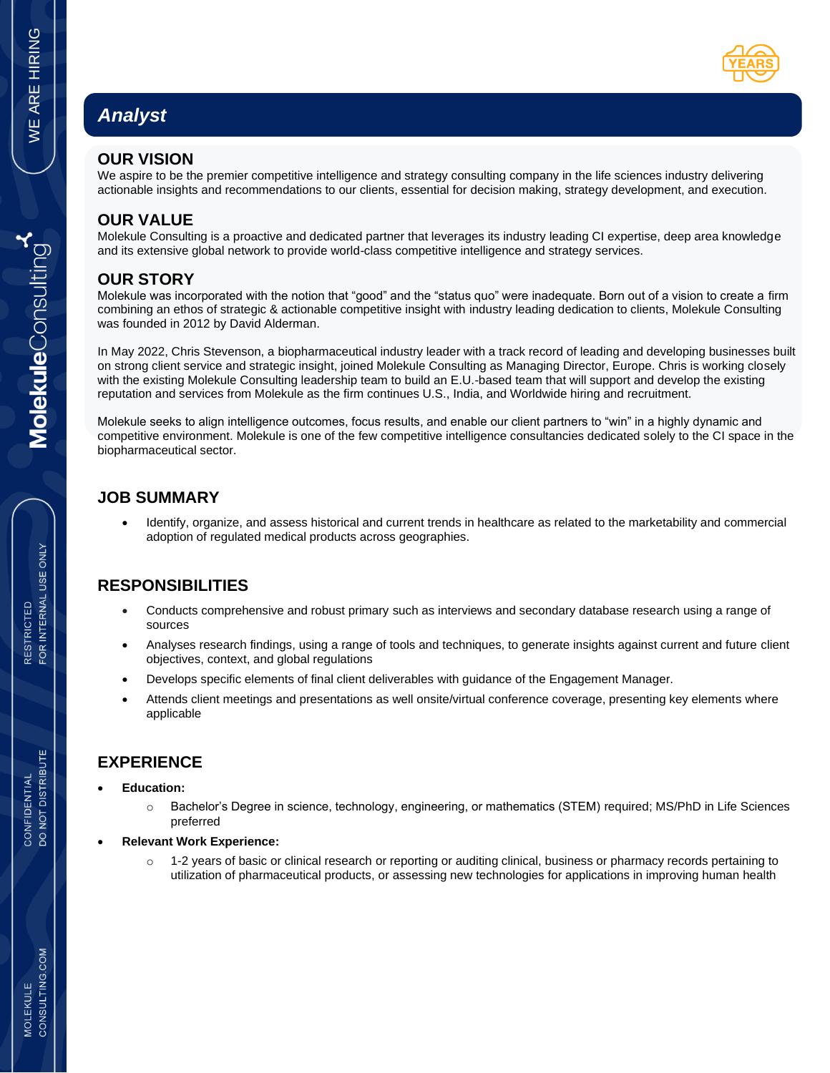# *Analyst*

#### **OUR VISION**

We aspire to be the premier competitive intelligence and strategy consulting company in the life sciences industry delivering actionable insights and recommendations to our clients, essential for decision making, strategy development, and execution.

### **OUR VALUE**

Molekule Consulting is a proactive and dedicated partner that leverages its industry leading CI expertise, deep area knowledge and its extensive global network to provide world-class competitive intelligence and strategy services.

# **OUR STORY**

Molekule was incorporated with the notion that "good" and the "status quo" were inadequate. Born out of a vision to create a firm combining an ethos of strategic & actionable competitive insight with industry leading dedication to clients, Molekule Consulting was founded in 2012 by David Alderman.

In May 2022, Chris Stevenson, a biopharmaceutical industry leader with a track record of leading and developing businesses built on strong client service and strategic insight, joined Molekule Consulting as Managing Director, Europe. Chris is working closely with the existing Molekule Consulting leadership team to build an E.U.-based team that will support and develop the existing reputation and services from Molekule as the firm continues U.S., India, and Worldwide hiring and recruitment.

Molekule seeks to align intelligence outcomes, focus results, and enable our client partners to "win" in a highly dynamic and competitive environment. Molekule is one of the few competitive intelligence consultancies dedicated solely to the CI space in the biopharmaceutical sector.

# **JOB SUMMARY**

• Identify, organize, and assess historical and current trends in healthcare as related to the marketability and commercial adoption of regulated medical products across geographies.

# **RESPONSIBILITIES**

- Conducts comprehensive and robust primary such as interviews and secondary database research using a range of sources
- Analyses research findings, using a range of tools and techniques, to generate insights against current and future client objectives, context, and global regulations
- Develops specific elements of final client deliverables with guidance of the Engagement Manager.
- Attends client meetings and presentations as well onsite/virtual conference coverage, presenting key elements where applicable

### **EXPERIENCE**

- **Education:** 
	- o Bachelor's Degree in science, technology, engineering, or mathematics (STEM) required; MS/PhD in Life Sciences preferred
- **Relevant Work Experience:** 
	- $\circ$  1-2 years of basic or clinical research or reporting or auditing clinical, business or pharmacy records pertaining to utilization of pharmaceutical products, or assessing new technologies for applications in improving human health